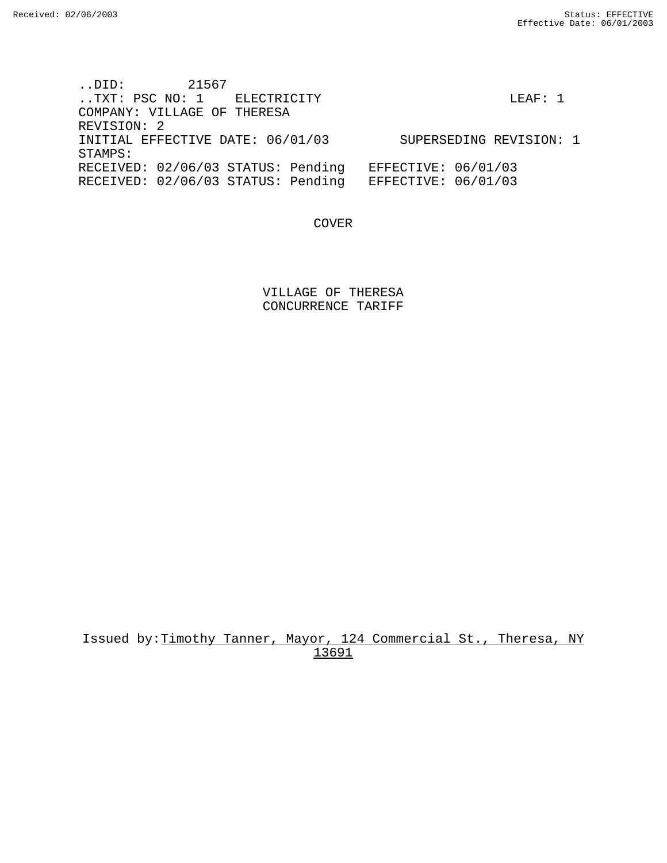..DID: 21567 ..TXT: PSC NO: 1 ELECTRICITY LEAF: 1 COMPANY: VILLAGE OF THERESA REVISION: 2 INITIAL EFFECTIVE DATE: 06/01/03 SUPERSEDING REVISION: 1 STAMPS: RECEIVED: 02/06/03 STATUS: Pending EFFECTIVE: 06/01/03 RECEIVED: 02/06/03 STATUS: Pending EFFECTIVE: 06/01/03

COVER

VILLAGE OF THERESA CONCURRENCE TARIFF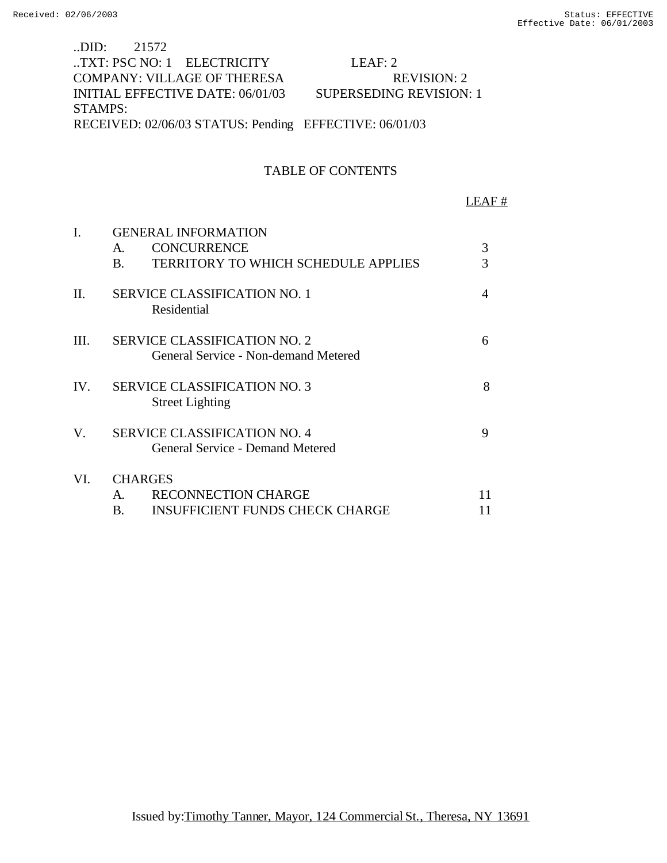# ..DID: 21572 ..TXT: PSC NO: 1 ELECTRICITY LEAF: 2 COMPANY: VILLAGE OF THERESA REVISION: 2 INITIAL EFFECTIVE DATE: 06/01/03 SUPERSEDING REVISION: 1 STAMPS: RECEIVED: 02/06/03 STATUS: Pending EFFECTIVE: 06/01/03

## TABLE OF CONTENTS

#### LEAF #

| $\mathbf{I}$ | <b>GENERAL INFORMATION</b>                                                  |    |  |  |
|--------------|-----------------------------------------------------------------------------|----|--|--|
|              | <b>CONCURRENCE</b><br>Α.                                                    | 3  |  |  |
|              | <b>TERRITORY TO WHICH SCHEDULE APPLIES</b><br>В.                            | 3  |  |  |
| П.           | <b>SERVICE CLASSIFICATION NO. 1</b><br>Residential                          | 4  |  |  |
| III.         | <b>SERVICE CLASSIFICATION NO. 2</b><br>General Service - Non-demand Metered | 6  |  |  |
| IV.          | <b>SERVICE CLASSIFICATION NO. 3</b><br><b>Street Lighting</b>               | 8  |  |  |
| V.           | <b>SERVICE CLASSIFICATION NO. 4</b><br>General Service - Demand Metered     | 9  |  |  |
| VI.          | <b>CHARGES</b>                                                              |    |  |  |
|              | <b>RECONNECTION CHARGE</b><br>Α.                                            | 11 |  |  |
|              | <b>INSUFFICIENT FUNDS CHECK CHARGE</b><br>В.                                | 11 |  |  |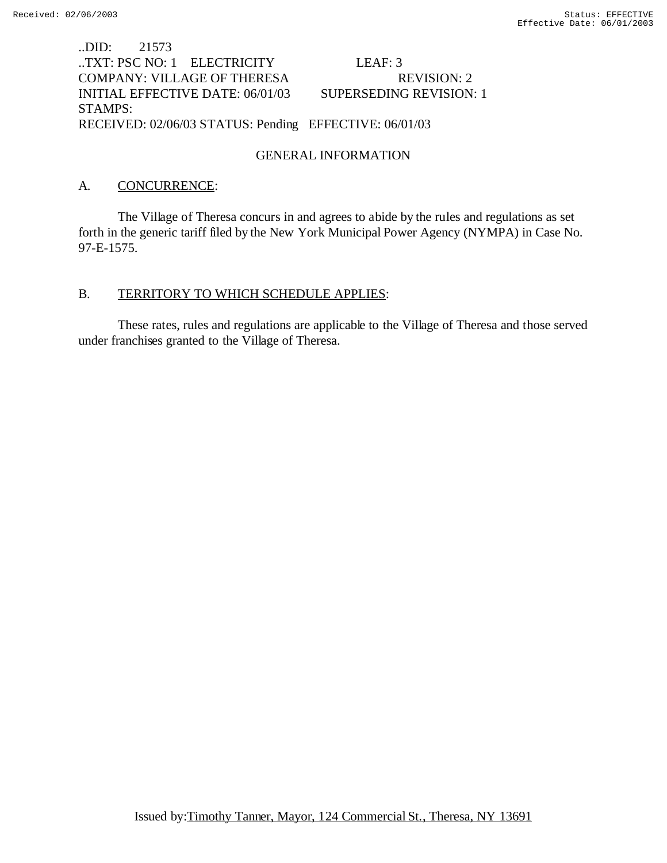# ..DID: 21573 ..TXT: PSC NO: 1 ELECTRICITY LEAF: 3 COMPANY: VILLAGE OF THERESA REVISION: 2 INITIAL EFFECTIVE DATE: 06/01/03 SUPERSEDING REVISION: 1 STAMPS: RECEIVED: 02/06/03 STATUS: Pending EFFECTIVE: 06/01/03

## GENERAL INFORMATION

## A. CONCURRENCE:

The Village of Theresa concurs in and agrees to abide by the rules and regulations as set forth in the generic tariff filed by the New York Municipal Power Agency (NYMPA) in Case No. 97-E-1575.

## B. TERRITORY TO WHICH SCHEDULE APPLIES:

These rates, rules and regulations are applicable to the Village of Theresa and those served under franchises granted to the Village of Theresa.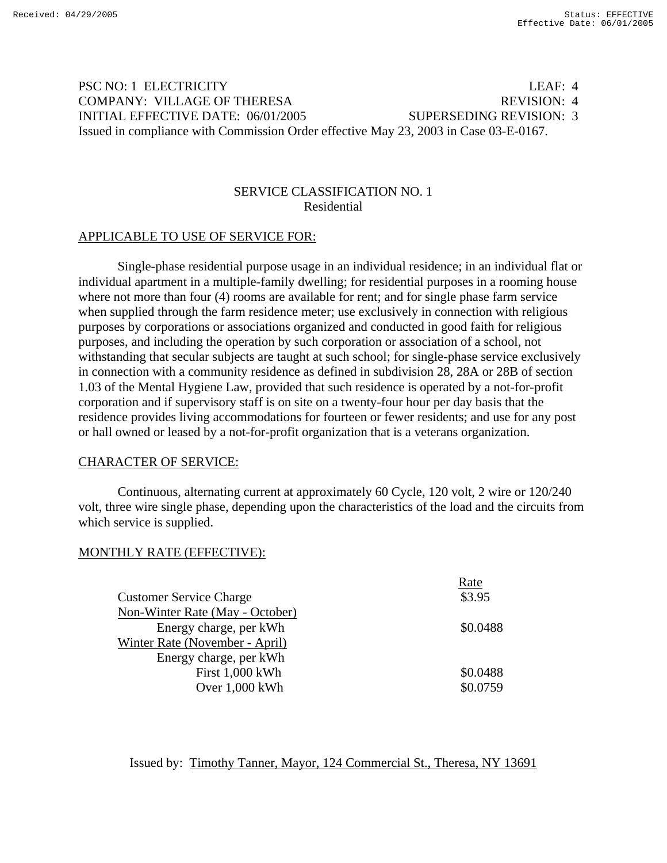# PSC NO: 1 ELECTRICITY LEAF: 4 COMPANY: VILLAGE OF THERESA REVISION: 4 INITIAL EFFECTIVE DATE: 06/01/2005 SUPERSEDING REVISION: 3 Issued in compliance with Commission Order effective May 23, 2003 in Case 03-E-0167.

## SERVICE CLASSIFICATION NO. 1 Residential

#### APPLICABLE TO USE OF SERVICE FOR:

 Single-phase residential purpose usage in an individual residence; in an individual flat or individual apartment in a multiple-family dwelling; for residential purposes in a rooming house where not more than four (4) rooms are available for rent; and for single phase farm service when supplied through the farm residence meter; use exclusively in connection with religious purposes by corporations or associations organized and conducted in good faith for religious purposes, and including the operation by such corporation or association of a school, not withstanding that secular subjects are taught at such school; for single-phase service exclusively in connection with a community residence as defined in subdivision 28, 28A or 28B of section 1.03 of the Mental Hygiene Law, provided that such residence is operated by a not-for-profit corporation and if supervisory staff is on site on a twenty-four hour per day basis that the residence provides living accommodations for fourteen or fewer residents; and use for any post or hall owned or leased by a not-for-profit organization that is a veterans organization.

#### CHARACTER OF SERVICE:

 Continuous, alternating current at approximately 60 Cycle, 120 volt, 2 wire or 120/240 volt, three wire single phase, depending upon the characteristics of the load and the circuits from which service is supplied.

## MONTHLY RATE (EFFECTIVE):

|                                 | Rate     |
|---------------------------------|----------|
| <b>Customer Service Charge</b>  | \$3.95   |
| Non-Winter Rate (May - October) |          |
| Energy charge, per kWh          | \$0.0488 |
| Winter Rate (November - April)  |          |
| Energy charge, per kWh          |          |
| First 1,000 kWh                 | \$0.0488 |
| Over 1,000 kWh                  | \$0.0759 |
|                                 |          |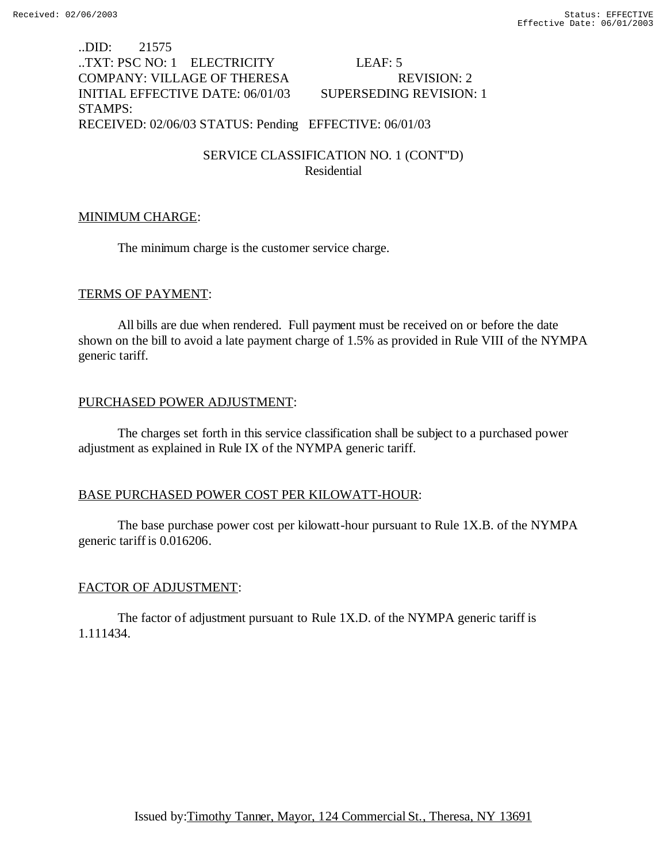..DID: 21575 ..TXT: PSC NO: 1 ELECTRICITY LEAF: 5 COMPANY: VILLAGE OF THERESA REVISION: 2 INITIAL EFFECTIVE DATE: 06/01/03 SUPERSEDING REVISION: 1 STAMPS: RECEIVED: 02/06/03 STATUS: Pending EFFECTIVE: 06/01/03

> SERVICE CLASSIFICATION NO. 1 (CONT''D) Residential

#### MINIMUM CHARGE:

The minimum charge is the customer service charge.

### TERMS OF PAYMENT:

All bills are due when rendered. Full payment must be received on or before the date shown on the bill to avoid a late payment charge of 1.5% as provided in Rule VIII of the NYMPA generic tariff.

### PURCHASED POWER ADJUSTMENT:

The charges set forth in this service classification shall be subject to a purchased power adjustment as explained in Rule IX of the NYMPA generic tariff.

## BASE PURCHASED POWER COST PER KILOWATT-HOUR:

The base purchase power cost per kilowatt-hour pursuant to Rule 1X.B. of the NYMPA generic tariff is 0.016206.

## FACTOR OF ADJUSTMENT:

The factor of adjustment pursuant to Rule 1X.D. of the NYMPA generic tariff is 1.111434.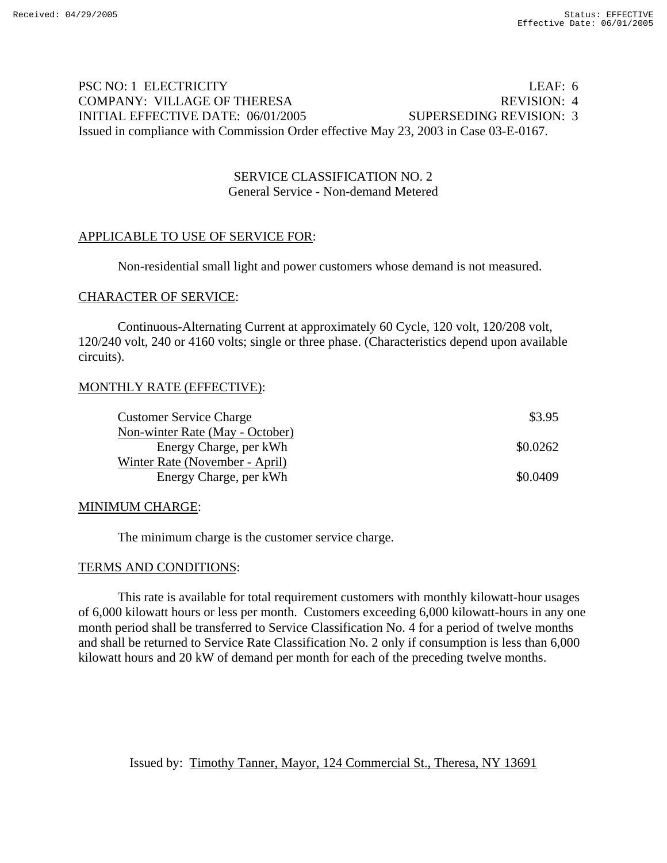# PSC NO: 1 ELECTRICITY LEAF: 6 COMPANY: VILLAGE OF THERESA REVISION: 4 INITIAL EFFECTIVE DATE: 06/01/2005 SUPERSEDING REVISION: 3 Issued in compliance with Commission Order effective May 23, 2003 in Case 03-E-0167.

## SERVICE CLASSIFICATION NO. 2 General Service - Non-demand Metered

# APPLICABLE TO USE OF SERVICE FOR:

Non-residential small light and power customers whose demand is not measured.

### CHARACTER OF SERVICE:

 Continuous-Alternating Current at approximately 60 Cycle, 120 volt, 120/208 volt, 120/240 volt, 240 or 4160 volts; single or three phase. (Characteristics depend upon available circuits).

## MONTHLY RATE (EFFECTIVE):

| <b>Customer Service Charge</b>  | \$3.95   |
|---------------------------------|----------|
| Non-winter Rate (May - October) |          |
| Energy Charge, per kWh          | \$0.0262 |
| Winter Rate (November - April)  |          |
| Energy Charge, per kWh          | \$0.0409 |

#### MINIMUM CHARGE:

The minimum charge is the customer service charge.

## TERMS AND CONDITIONS:

 This rate is available for total requirement customers with monthly kilowatt-hour usages of 6,000 kilowatt hours or less per month. Customers exceeding 6,000 kilowatt-hours in any one month period shall be transferred to Service Classification No. 4 for a period of twelve months and shall be returned to Service Rate Classification No. 2 only if consumption is less than 6,000 kilowatt hours and 20 kW of demand per month for each of the preceding twelve months.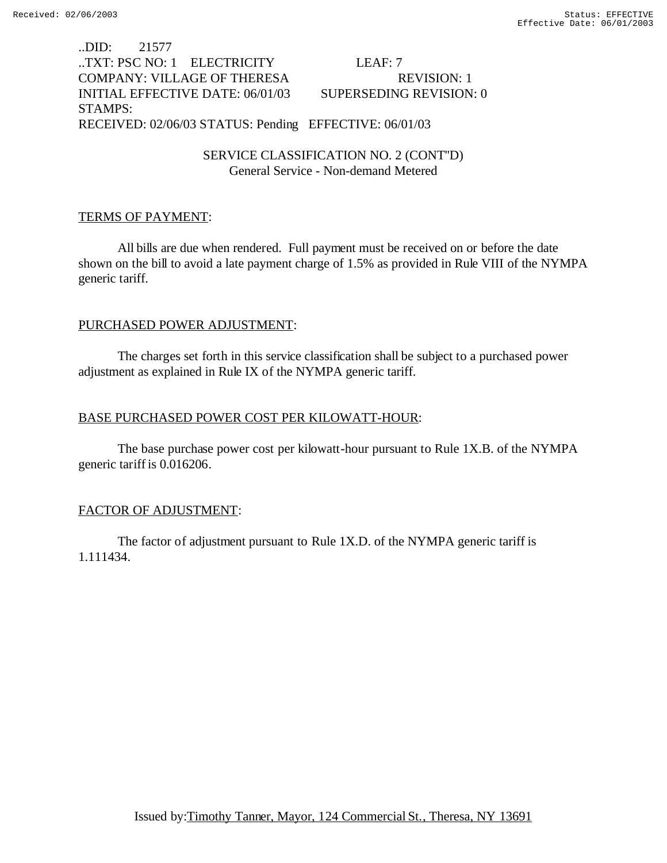..DID: 21577 ..TXT: PSC NO: 1 ELECTRICITY LEAF: 7 COMPANY: VILLAGE OF THERESA REVISION: 1 INITIAL EFFECTIVE DATE: 06/01/03 SUPERSEDING REVISION: 0 STAMPS: RECEIVED: 02/06/03 STATUS: Pending EFFECTIVE: 06/01/03

> SERVICE CLASSIFICATION NO. 2 (CONT''D) General Service - Non-demand Metered

### TERMS OF PAYMENT:

All bills are due when rendered. Full payment must be received on or before the date shown on the bill to avoid a late payment charge of 1.5% as provided in Rule VIII of the NYMPA generic tariff.

### PURCHASED POWER ADJUSTMENT:

The charges set forth in this service classification shall be subject to a purchased power adjustment as explained in Rule IX of the NYMPA generic tariff.

## BASE PURCHASED POWER COST PER KILOWATT-HOUR:

The base purchase power cost per kilowatt-hour pursuant to Rule 1X.B. of the NYMPA generic tariff is 0.016206.

## FACTOR OF ADJUSTMENT:

The factor of adjustment pursuant to Rule 1X.D. of the NYMPA generic tariff is 1.111434.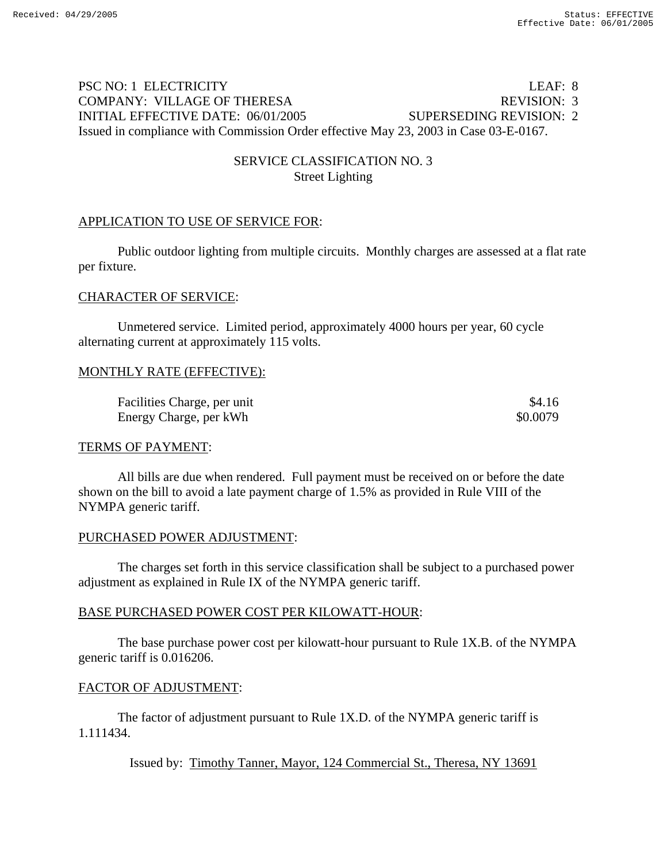# PSC NO: 1 ELECTRICITY LEAF: 8 COMPANY: VILLAGE OF THERESA REVISION: 3 INITIAL EFFECTIVE DATE: 06/01/2005 SUPERSEDING REVISION: 2 Issued in compliance with Commission Order effective May 23, 2003 in Case 03-E-0167.

# SERVICE CLASSIFICATION NO. 3 Street Lighting

# APPLICATION TO USE OF SERVICE FOR:

 Public outdoor lighting from multiple circuits. Monthly charges are assessed at a flat rate per fixture.

## CHARACTER OF SERVICE:

 Unmetered service. Limited period, approximately 4000 hours per year, 60 cycle alternating current at approximately 115 volts.

## MONTHLY RATE (EFFECTIVE):

| Facilities Charge, per unit | \$4.16   |
|-----------------------------|----------|
| Energy Charge, per kWh      | \$0.0079 |

## TERMS OF PAYMENT:

 All bills are due when rendered. Full payment must be received on or before the date shown on the bill to avoid a late payment charge of 1.5% as provided in Rule VIII of the NYMPA generic tariff.

## PURCHASED POWER ADJUSTMENT:

 The charges set forth in this service classification shall be subject to a purchased power adjustment as explained in Rule IX of the NYMPA generic tariff.

## BASE PURCHASED POWER COST PER KILOWATT-HOUR:

 The base purchase power cost per kilowatt-hour pursuant to Rule 1X.B. of the NYMPA generic tariff is 0.016206.

## FACTOR OF ADJUSTMENT:

 The factor of adjustment pursuant to Rule 1X.D. of the NYMPA generic tariff is 1.111434.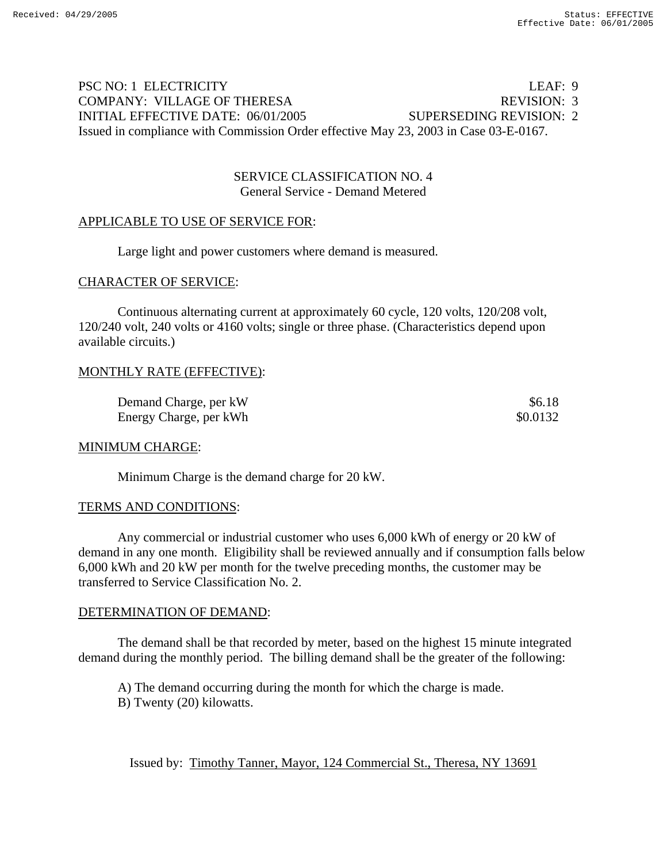# PSC NO: 1 ELECTRICITY LEAF: 9 COMPANY: VILLAGE OF THERESA REVISION: 3 INITIAL EFFECTIVE DATE: 06/01/2005 SUPERSEDING REVISION: 2 Issued in compliance with Commission Order effective May 23, 2003 in Case 03-E-0167.

## SERVICE CLASSIFICATION NO. 4 General Service - Demand Metered

## APPLICABLE TO USE OF SERVICE FOR:

Large light and power customers where demand is measured.

### CHARACTER OF SERVICE:

 Continuous alternating current at approximately 60 cycle, 120 volts, 120/208 volt, 120/240 volt, 240 volts or 4160 volts; single or three phase. (Characteristics depend upon available circuits.)

### MONTHLY RATE (EFFECTIVE):

Demand Charge, per kW  $$6.18$ Energy Charge, per kWh  $\frac{1}{2}$  80.0132

#### MINIMUM CHARGE:

Minimum Charge is the demand charge for 20 kW.

## TERMS AND CONDITIONS:

 Any commercial or industrial customer who uses 6,000 kWh of energy or 20 kW of demand in any one month. Eligibility shall be reviewed annually and if consumption falls below 6,000 kWh and 20 kW per month for the twelve preceding months, the customer may be transferred to Service Classification No. 2.

#### DETERMINATION OF DEMAND:

 The demand shall be that recorded by meter, based on the highest 15 minute integrated demand during the monthly period. The billing demand shall be the greater of the following:

 A) The demand occurring during the month for which the charge is made. B) Twenty (20) kilowatts.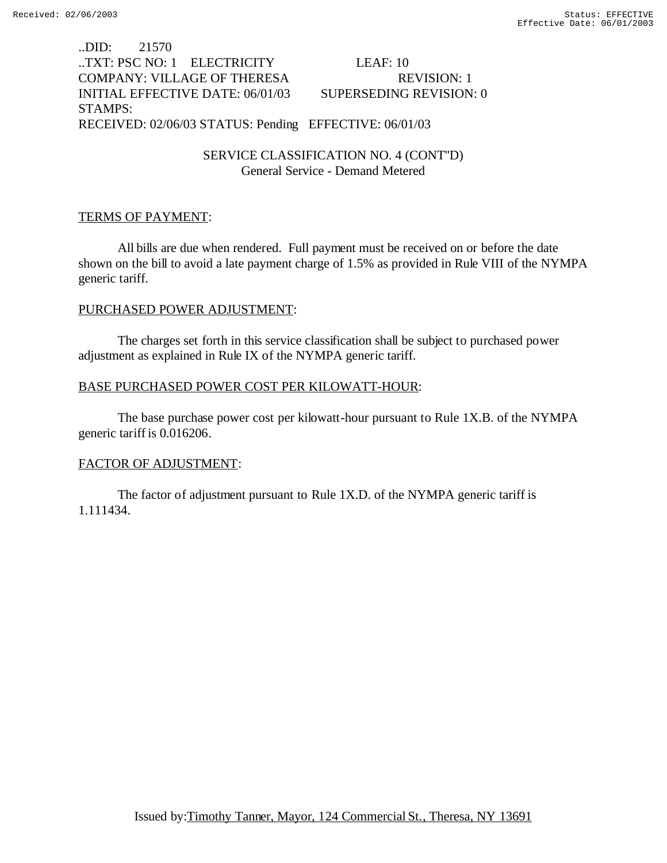..DID: 21570 ..TXT: PSC NO: 1 ELECTRICITY LEAF: 10 COMPANY: VILLAGE OF THERESA REVISION: 1 INITIAL EFFECTIVE DATE: 06/01/03 SUPERSEDING REVISION: 0 STAMPS: RECEIVED: 02/06/03 STATUS: Pending EFFECTIVE: 06/01/03

> SERVICE CLASSIFICATION NO. 4 (CONT''D) General Service - Demand Metered

### TERMS OF PAYMENT:

All bills are due when rendered. Full payment must be received on or before the date shown on the bill to avoid a late payment charge of 1.5% as provided in Rule VIII of the NYMPA generic tariff.

#### PURCHASED POWER ADJUSTMENT:

The charges set forth in this service classification shall be subject to purchased power adjustment as explained in Rule IX of the NYMPA generic tariff.

### BASE PURCHASED POWER COST PER KILOWATT-HOUR:

The base purchase power cost per kilowatt-hour pursuant to Rule 1X.B. of the NYMPA generic tariff is 0.016206.

#### FACTOR OF ADJUSTMENT:

The factor of adjustment pursuant to Rule 1X.D. of the NYMPA generic tariff is 1.111434.